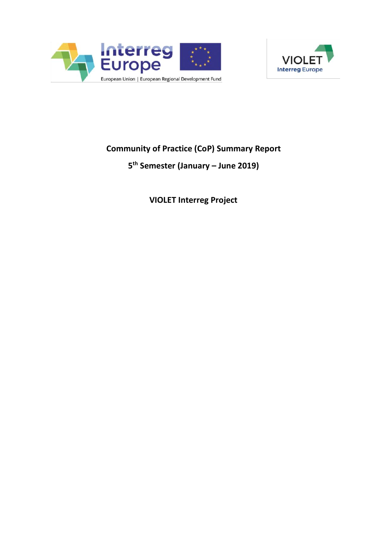



# **Community of Practice (CoP) Summary Report**

## **5 th Semester (January – June 2019)**

**VIOLET Interreg Project**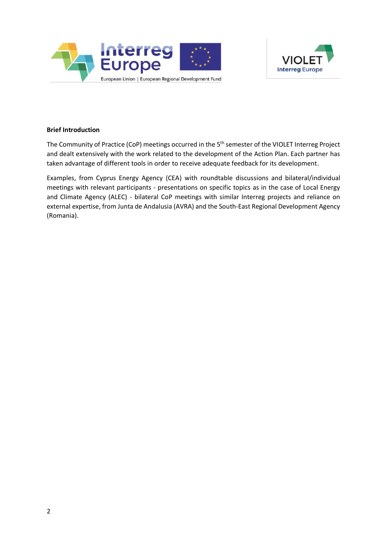



## **Brief Introduction**

The Community of Practice (CoP) meetings occurred in the 5<sup>th</sup> semester of the VIOLET Interreg Project and dealt extensively with the work related to the development of the Action Plan. Each partner has taken advantage of different tools in order to receive adequate feedback for its development.

Examples, from Cyprus Energy Agency (CEA) with roundtable discussions and bilateral/individual meetings with relevant participants - presentations on specific topics as in the case of Local Energy and Climate Agency (ALEC) - bilateral CoP meetings with similar Interreg projects and reliance on external expertise, from Junta de Andalusia (AVRA) and the South-East Regional Development Agency (Romania).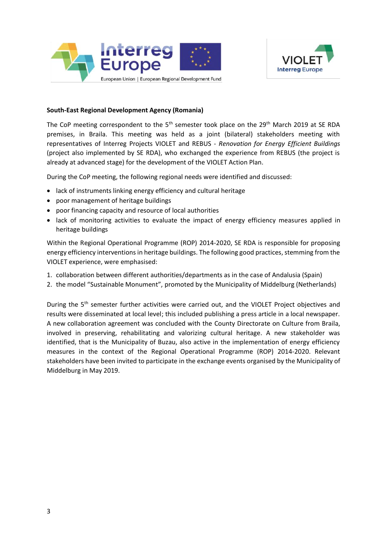



## **South-East Regional Development Agency (Romania)**

The CoP meeting correspondent to the  $5<sup>th</sup>$  semester took place on the 29<sup>th</sup> March 2019 at SE RDA premises, in Braila. This meeting was held as a joint (bilateral) stakeholders meeting with representatives of Interreg Projects VIOLET and REBUS - *Renovation for Energy Efficient Buildings* (project also implemented by SE RDA), who exchanged the experience from REBUS (the project is already at advanced stage) for the development of the VIOLET Action Plan.

During the CoP meeting, the following regional needs were identified and discussed:

- lack of instruments linking energy efficiency and cultural heritage
- poor management of heritage buildings
- poor financing capacity and resource of local authorities
- lack of monitoring activities to evaluate the impact of energy efficiency measures applied in heritage buildings

Within the Regional Operational Programme (ROP) 2014-2020, SE RDA is responsible for proposing energy efficiency interventions in heritage buildings. The following good practices, stemming from the VIOLET experience, were emphasised:

- 1. collaboration between different authorities/departments as in the case of Andalusia (Spain)
- 2. the model "Sustainable Monument", promoted by the Municipality of Middelburg (Netherlands)

During the 5<sup>th</sup> semester further activities were carried out, and the VIOLET Project objectives and results were disseminated at local level; this included publishing a press article in a local newspaper. A new collaboration agreement was concluded with the County Directorate on Culture from Braila, involved in preserving, rehabilitating and valorizing cultural heritage. A new stakeholder was identified, that is the Municipality of Buzau, also active in the implementation of energy efficiency measures in the context of the Regional Operational Programme (ROP) 2014-2020. Relevant stakeholders have been invited to participate in the exchange events organised by the Municipality of Middelburg in May 2019.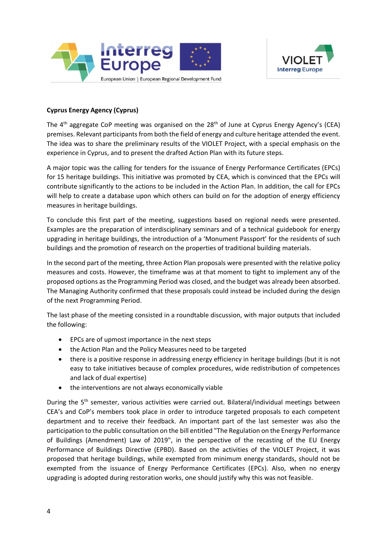



## **Cyprus Energy Agency (Cyprus)**

The  $4<sup>th</sup>$  aggregate CoP meeting was organised on the 28<sup>th</sup> of June at Cyprus Energy Agency's (CEA) premises. Relevant participants from both the field of energy and culture heritage attended the event. The idea was to share the preliminary results of the VIOLET Project, with a special emphasis on the experience in Cyprus, and to present the drafted Action Plan with its future steps.

A major topic was the calling for tenders for the issuance of Energy Performance Certificates (EPCs) for 15 heritage buildings. This initiative was promoted by CEA, which is convinced that the EPCs will contribute significantly to the actions to be included in the Action Plan. In addition, the call for EPCs will help to create a database upon which others can build on for the adoption of energy efficiency measures in heritage buildings.

To conclude this first part of the meeting, suggestions based on regional needs were presented. Examples are the preparation of interdisciplinary seminars and of a technical guidebook for energy upgrading in heritage buildings, the introduction of a 'Monument Passport' for the residents of such buildings and the promotion of research on the properties of traditional building materials.

In the second part of the meeting, three Action Plan proposals were presented with the relative policy measures and costs. However, the timeframe was at that moment to tight to implement any of the proposed options as the Programming Period was closed, and the budget was already been absorbed. The Managing Authority confirmed that these proposals could instead be included during the design of the next Programming Period.

The last phase of the meeting consisted in a roundtable discussion, with major outputs that included the following:

- EPCs are of upmost importance in the next steps
- the Action Plan and the Policy Measures need to be targeted
- there is a positive response in addressing energy efficiency in heritage buildings (but it is not easy to take initiatives because of complex procedures, wide redistribution of competences and lack of dual expertise)
- the interventions are not always economically viable

During the 5<sup>th</sup> semester, various activities were carried out. Bilateral/individual meetings between CEA's and CoP's members took place in order to introduce targeted proposals to each competent department and to receive their feedback. An important part of the last semester was also the participation to the public consultation on the bill entitled "The Regulation on the Energy Performance of Buildings (Amendment) Law of 2019", in the perspective of the recasting of the EU Energy Performance of Buildings Directive (EPBD). Based on the activities of the VIOLET Project, it was proposed that heritage buildings, while exempted from minimum energy standards, should not be exempted from the issuance of Energy Performance Certificates (EPCs). Also, when no energy upgrading is adopted during restoration works, one should justify why this was not feasible.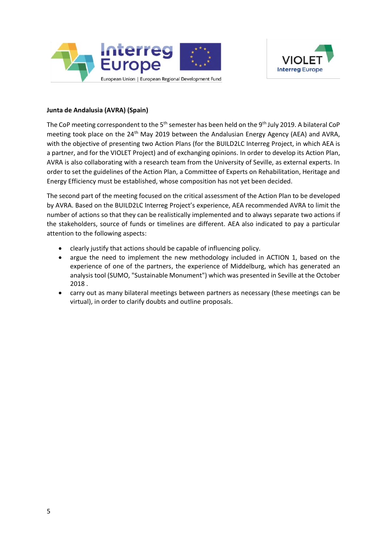



## **Junta de Andalusia (AVRA) (Spain)**

The CoP meeting correspondent to the 5<sup>th</sup> semester has been held on the 9<sup>th</sup> July 2019. A bilateral CoP meeting took place on the 24<sup>th</sup> May 2019 between the Andalusian Energy Agency (AEA) and AVRA, with the objective of presenting two Action Plans (for the BUILD2LC Interreg Project, in which AEA is a partner, and for the VIOLET Project) and of exchanging opinions. In order to develop its Action Plan, AVRA is also collaborating with a research team from the University of Seville, as external experts. In order to set the guidelines of the Action Plan, a Committee of Experts on Rehabilitation, Heritage and Energy Efficiency must be established, whose composition has not yet been decided.

The second part of the meeting focused on the critical assessment of the Action Plan to be developed by AVRA. Based on the BUILD2LC Interreg Project's experience, AEA recommended AVRA to limit the number of actions so that they can be realistically implemented and to always separate two actions if the stakeholders, source of funds or timelines are different. AEA also indicated to pay a particular attention to the following aspects:

- clearly justify that actions should be capable of influencing policy.
- argue the need to implement the new methodology included in ACTION 1, based on the experience of one of the partners, the experience of Middelburg, which has generated an analysis tool (SUMO, "Sustainable Monument") which was presented in Seville at the October 2018 .
- carry out as many bilateral meetings between partners as necessary (these meetings can be virtual), in order to clarify doubts and outline proposals.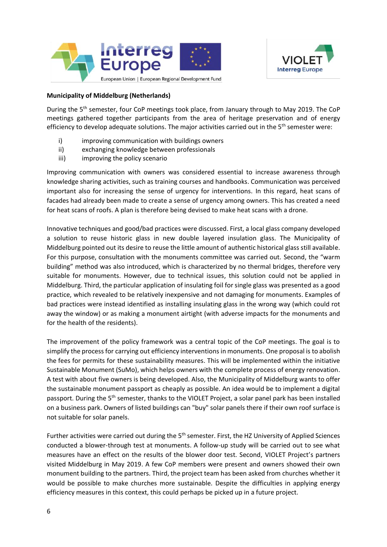



## **Municipality of Middelburg (Netherlands)**

During the 5<sup>th</sup> semester, four CoP meetings took place, from January through to May 2019. The CoP meetings gathered together participants from the area of heritage preservation and of energy efficiency to develop adequate solutions. The major activities carried out in the 5<sup>th</sup> semester were:

- i) improving communication with buildings owners
- ii) exchanging knowledge between professionals
- iii) improving the policy scenario

Improving communication with owners was considered essential to increase awareness through knowledge sharing activities, such as training courses and handbooks. Communication was perceived important also for increasing the sense of urgency for interventions. In this regard, heat scans of facades had already been made to create a sense of urgency among owners. This has created a need for heat scans of roofs. A plan is therefore being devised to make heat scans with a drone.

Innovative techniques and good/bad practices were discussed. First, a local glass company developed a solution to reuse historic glass in new double layered insulation glass. The Municipality of Middelburg pointed out its desire to reuse the little amount of authentic historical glass still available. For this purpose, consultation with the monuments committee was carried out. Second, the "warm building" method was also introduced, which is characterized by no thermal bridges, therefore very suitable for monuments. However, due to technical issues, this solution could not be applied in Middelburg. Third, the particular application of insulating foil for single glass was presented as a good practice, which revealed to be relatively inexpensive and not damaging for monuments. Examples of bad practices were instead identified as installing insulating glass in the wrong way (which could rot away the window) or as making a monument airtight (with adverse impacts for the monuments and for the health of the residents).

The improvement of the policy framework was a central topic of the CoP meetings. The goal is to simplify the process for carrying out efficiency interventions in monuments. One proposal is to abolish the fees for permits for these sustainability measures. This will be implemented within the initiative Sustainable Monument (SuMo), which helps owners with the complete process of energy renovation. A test with about five owners is being developed. Also, the Municipality of Middelburg wants to offer the sustainable monument passport as cheaply as possible. An idea would be to implement a digital passport. During the 5<sup>th</sup> semester, thanks to the VIOLET Project, a solar panel park has been installed on a business park. Owners of listed buildings can "buy" solar panels there if their own roof surface is not suitable for solar panels.

Further activities were carried out during the 5<sup>th</sup> semester. First, the HZ University of Applied Sciences conducted a blower-through test at monuments. A follow-up study will be carried out to see what measures have an effect on the results of the blower door test. Second, VIOLET Project's partners visited Middelburg in May 2019. A few CoP members were present and owners showed their own monument building to the partners. Third, the project team has been asked from churches whether it would be possible to make churches more sustainable. Despite the difficulties in applying energy efficiency measures in this context, this could perhaps be picked up in a future project.